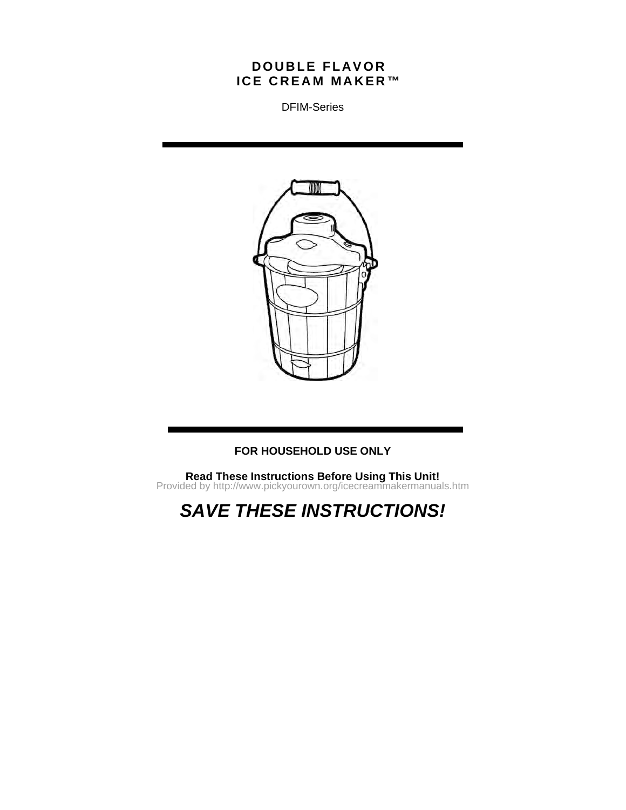# **D O U B LE F LA V O R IC E C R E A M MA K E R ™**

DFIM-Series



# **FOR HOUSEHOLD USE ONLY**

**Read These Instructions Before Using This Unit!** Provided by http://www.pickyourown.org/icecreammakermanuals.htm

*SAVE THESE INSTRUCTIONS!*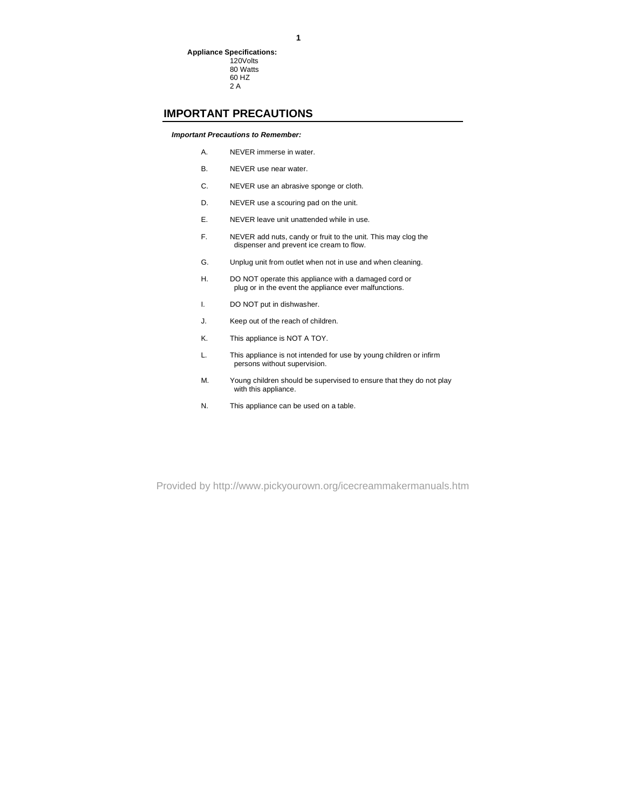#### 80 Watts 60 HZ 2 A

# **IMPORTANT PRECAUTIONS**

#### *Important Precautions to Remember:*

- A. NEVER immerse in water.
- B. NEVER use near water.
- C. NEVER use an abrasive sponge or cloth.
- D. NEVER use a scouring pad on the unit.
- E. NEVER leave unit unattended while in use.
- F. NEVER add nuts, candy or fruit to the unit. This may clog the dispenser and prevent ice cream to flow.
- G. Unplug unit from outlet when not in use and when cleaning.
- H. DO NOT operate this appliance with a damaged cord or plug or in the event the appliance ever malfunctions.
- I. DO NOT put in dishwasher.
- J. Keep out of the reach of children.
- K. This appliance is NOT A TOY.
- L. This appliance is not intended for use by young children or infirm persons without supervision.
- M. Young children should be supervised to ensure that they do not play with this appliance.
- N. This appliance can be used on a table.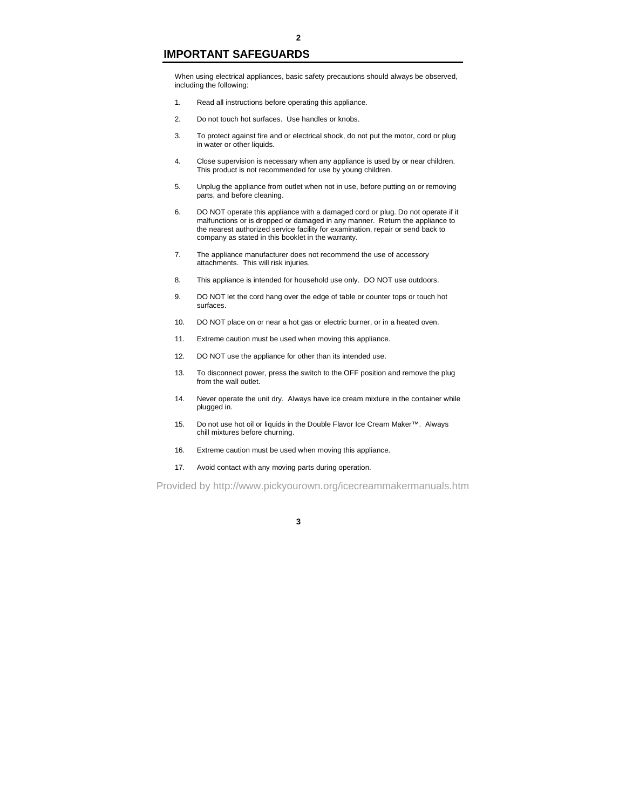### **IMPORTANT SAFEGUARDS**

When using electrical appliances, basic safety precautions should always be observed, including the following:

- 1. Read all instructions before operating this appliance.
- 2. Do not touch hot surfaces. Use handles or knobs.
- 3. To protect against fire and or electrical shock, do not put the motor, cord or plug in water or other liquids.
- 4. Close supervision is necessary when any appliance is used by or near children. This product is not recommended for use by young children.
- 5. Unplug the appliance from outlet when not in use, before putting on or removing parts, and before cleaning.
- 6. DO NOT operate this appliance with a damaged cord or plug. Do not operate if it malfunctions or is dropped or damaged in any manner. Return the appliance to the nearest authorized service facility for examination, repair or send back to company as stated in this booklet in the warranty.
- 7. The appliance manufacturer does not recommend the use of accessory attachments. This will risk injuries.
- 8. This appliance is intended for household use only. DO NOT use outdoors.
- 9. DO NOT let the cord hang over the edge of table or counter tops or touch hot surfaces.
- 10. DO NOT place on or near a hot gas or electric burner, or in a heated oven.
- 11. Extreme caution must be used when moving this appliance.
- 12. DO NOT use the appliance for other than its intended use.
- 13. To disconnect power, press the switch to the OFF position and remove the plug from the wall outlet.
- 14. Never operate the unit dry. Always have ice cream mixture in the container while plugged in.
- 15. Do not use hot oil or liquids in the Double Flavor Ice Cream Maker™. Always chill mixtures before churning.
- 16. Extreme caution must be used when moving this appliance.
- 17. Avoid contact with any moving parts during operation.

Provided by http://www.pickyourown.org/icecreammakermanuals.htm

#### **3**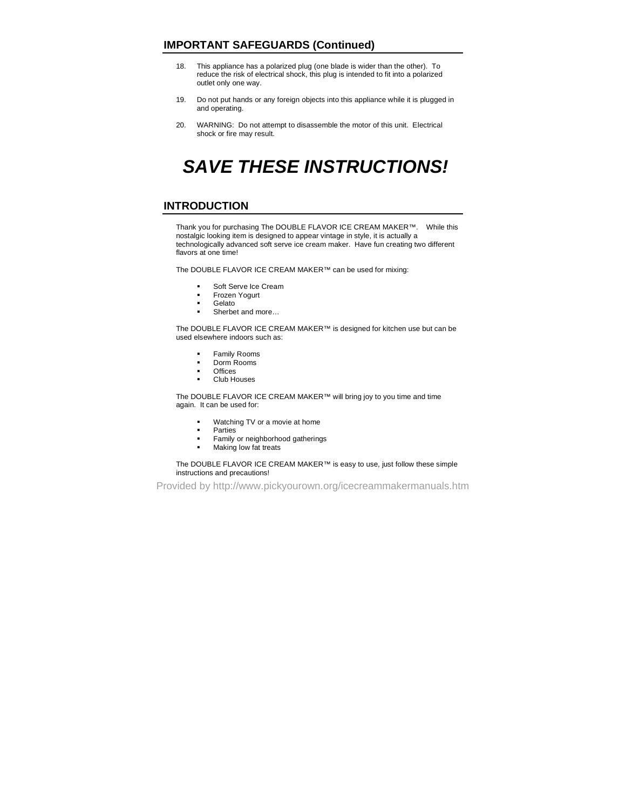# **IMPORTANT SAFEGUARDS (Continued)**

- 18. This appliance has a polarized plug (one blade is wider than the other). To reduce the risk of electrical shock, this plug is intended to fit into a polarized outlet only one way.
- 19. Do not put hands or any foreign objects into this appliance while it is plugged in and operating.
- 20. WARNING: Do not attempt to disassemble the motor of this unit. Electrical shock or fire may result.

# *SAVE THESE INSTRUCTIONS!*

### **INTRODUCTION**

Thank you for purchasing The DOUBLE FLAVOR ICE CREAM MAKER™. While this nostalgic looking item is designed to appear vintage in style, it is actually a technologically advanced soft serve ice cream maker. Have fun creating two different flavors at one time!

The DOUBLE FLAVOR ICE CREAM MAKER™ can be used for mixing:

- Soft Serve Ice Cream
- **Frozen Yogurt**<br>Relato
- Gelato
- Sherbet and more..

The DOUBLE FLAVOR ICE CREAM MAKER™ is designed for kitchen use but can be used elsewhere indoors such as:

- Family Rooms
- **Dorm Rooms**
- **Change**
- Club Houses

The DOUBLE FLAVOR ICE CREAM MAKER™ will bring joy to you time and time again. It can be used for:

- Watching TV or a movie at home
- **Parties**
- **Family or neighborhood gatherings**
- **Making low fat treats**

#### The DOUBLE FLAVOR ICE CREAM MAKER™ is easy to use, just follow these simple instructions and precautions!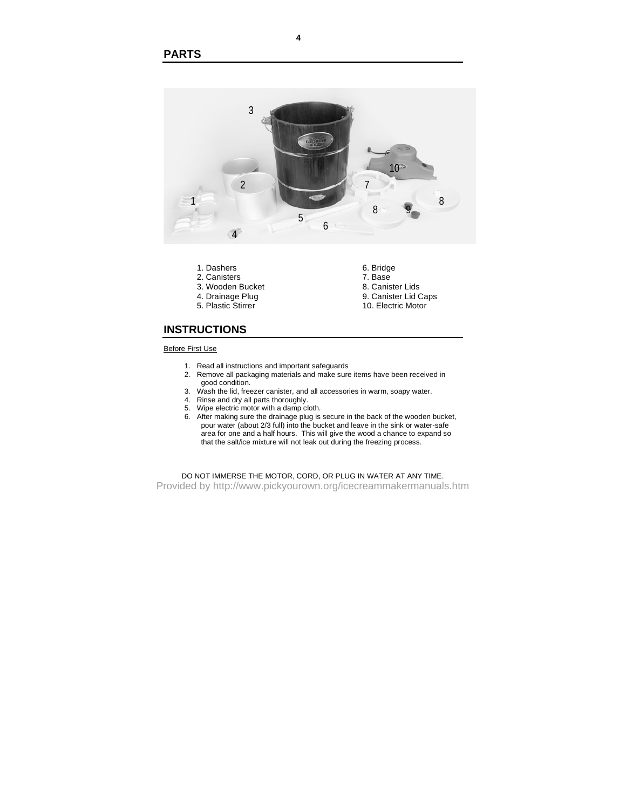

#### Before First Use

- 1. Read all instructions and important safeguards
- 2. Remove all packaging materials and make sure items have been received in good condition.
- 3. Wash the lid, freezer canister, and all accessories in warm, soapy water.
- 4. Rinse and dry all parts thoroughly.
- 5. Wipe electric motor with a damp cloth.
- 6. After making sure the drainage plug is secure in the back of the wooden bucket, pour water (about 2/3 full) into the bucket and leave in the sink or water-safe area for one and a half hours. This will give the wood a chance to expand so that the salt/ice mixture will not leak out during the freezing process.

DO NOT IMMERSE THE MOTOR, CORD, OR PLUG IN WATER AT ANY TIME.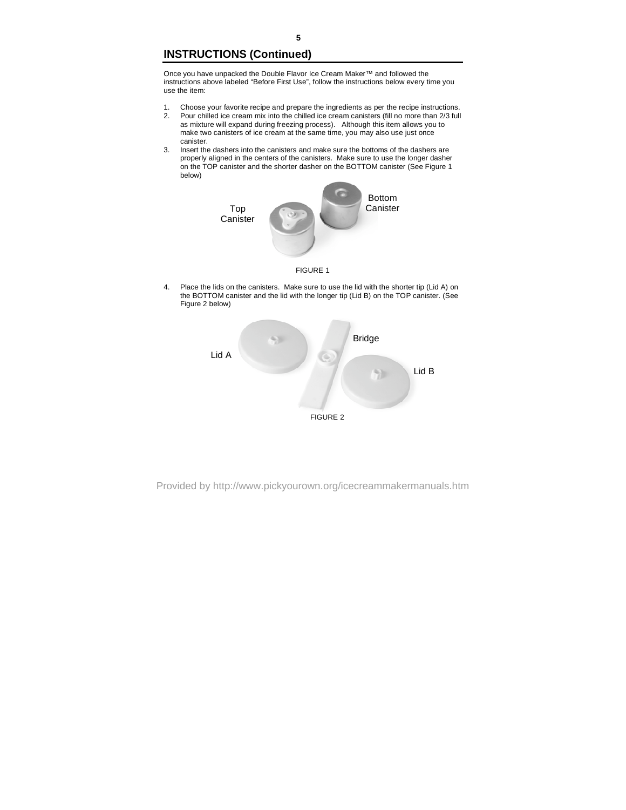# **INSTRUCTIONS (Continued)**

Once you have unpacked the Double Flavor Ice Cream Maker™ and followed the instructions above labeled "Before First Use", follow the instructions below every time you use the item:

- 1. Choose your favorite recipe and prepare the ingredients as per the recipe instructions.<br>2. Pour chilled ice cream mix into the chilled ice cream canisters (fill no more than 2/3 full 2. Pour chilled ice cream mix into the chilled ice cream canisters (fill no more than 2/3 full as mixture will expand during freezing process). Although this item allows you to make two canisters of ice cream at the same time, you may also use just once canister.
- 3. Insert the dashers into the canisters and make sure the bottoms of the dashers are properly aligned in the centers of the canisters. Make sure to use the longer dasher on the TOP canister and the shorter dasher on the BOTTOM canister (See Figure 1 below)



FIGURE 1

4. Place the lids on the canisters. Make sure to use the lid with the shorter tip (Lid A) on the BOTTOM canister and the lid with the longer tip (Lid B) on the TOP canister. (See Figure 2 below)

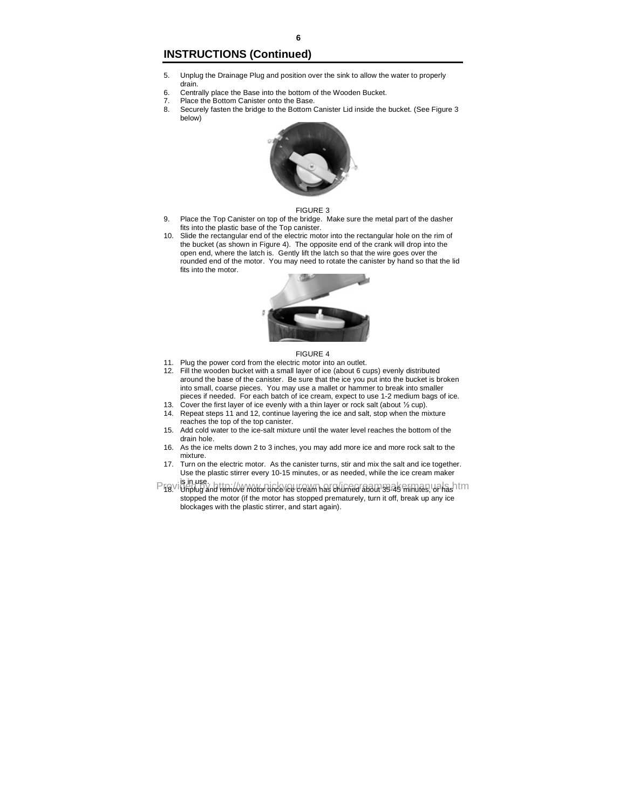# **INSTRUCTIONS (Continued)**

- 5. Unplug the Drainage Plug and position over the sink to allow the water to properly drain.
- 6. Centrally place the Base into the bottom of the Wooden Bucket.<br>7. Place the Bottom Canister onto the Base
- Place the Bottom Canister onto the Base.
- 8. Securely fasten the bridge to the Bottom Canister Lid inside the bucket. (See Figure 3 below)



#### FIGURE 3

- 9. Place the Top Canister on top of the bridge. Make sure the metal part of the dasher fits into the plastic base of the Top canister.
- 10. Slide the rectangular end of the electric motor into the rectangular hole on the rim of the bucket (as shown in Figure 4). The opposite end of the crank will drop into the open end, where the latch is. Gently lift the latch so that the wire goes over the rounded end of the motor. You may need to rotate the canister by hand so that the lid fits into the motor.



#### FIGURE 4

- 11. Plug the power cord from the electric motor into an outlet.
- 12. Fill the wooden bucket with a small layer of ice (about 6 cups) evenly distributed around the base of the canister. Be sure that the ice you put into the bucket is broken into small, coarse pieces. You may use a mallet or hammer to break into smaller pieces if needed. For each batch of ice cream, expect to use 1-2 medium bags of ice.
- 13. Cover the first layer of ice evenly with a thin layer or rock salt (about ½ cup). 14. Repeat steps 11 and 12, continue layering the ice and salt, stop when the mixture
- reaches the top of the top canister.
- 15. Add cold water to the ice-salt mixture until the water level reaches the bottom of the drain hole.
- 16. As the ice melts down 2 to 3 inches, you may add more ice and more rock salt to the mixture.
- 17. Turn on the electric motor. As the canister turns, stir and mix the salt and ice together. Use the plastic stirrer every 10-15 minutes, or as needed, while the ice cream maker is in use.
- Providently and remove motor once ice cream has churned about 35-45 minutes, ya has htm stopped the motor (if the motor has stopped prematurely, turn it off, break up any ice blockages with the plastic stirrer, and start again).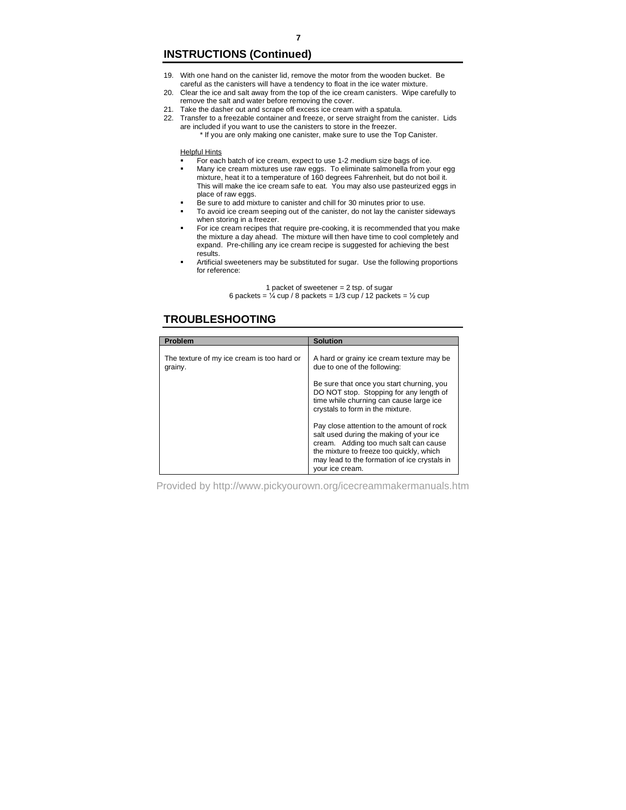# **INSTRUCTIONS (Continued)**

- 19. With one hand on the canister lid, remove the motor from the wooden bucket. Be careful as the canisters will have a tendency to float in the ice water mixture.
- 20. Clear the ice and salt away from the top of the ice cream canisters. Wipe carefully to remove the salt and water before removing the cover.
- 21. Take the dasher out and scrape off excess ice cream with a spatula.
- 22. Transfer to a freezable container and freeze, or serve straight from the canister. Lids are included if you want to use the canisters to store in the freezer.
	- \* If you are only making one canister, make sure to use the Top Canister.

#### Helpful Hints

- For each batch of ice cream, expect to use 1-2 medium size bags of ice.
- Many ice cream mixtures use raw eggs. To eliminate salmonella from your egg mixture, heat it to a temperature of 160 degrees Fahrenheit, but do not boil it. This will make the ice cream safe to eat. You may also use pasteurized eggs in place of raw eggs.
- Be sure to add mixture to canister and chill for 30 minutes prior to use.
- To avoid ice cream seeping out of the canister, do not lay the canister sideways when storing in a freezer.
- For ice cream recipes that require pre-cooking, it is recommended that you make the mixture a day ahead. The mixture will then have time to cool completely and expand. Pre-chilling any ice cream recipe is suggested for achieving the best results.
- Artificial sweeteners may be substituted for sugar. Use the following proportions for reference:

#### 1 packet of sweetener = 2 tsp. of sugar 6 packets =  $\frac{1}{4}$  cup / 8 packets = 1/3 cup / 12 packets =  $\frac{1}{2}$  cup

### **TROUBLESHOOTING**

| Problem                                               | <b>Solution</b>                                                                                                                                                                                                                              |
|-------------------------------------------------------|----------------------------------------------------------------------------------------------------------------------------------------------------------------------------------------------------------------------------------------------|
| The texture of my ice cream is too hard or<br>grainy. | A hard or grainy ice cream texture may be<br>due to one of the following:                                                                                                                                                                    |
|                                                       | Be sure that once you start churning, you<br>DO NOT stop. Stopping for any length of<br>time while churning can cause large ice<br>crystals to form in the mixture.                                                                          |
|                                                       | Pay close attention to the amount of rock<br>salt used during the making of your ice<br>cream. Adding too much salt can cause<br>the mixture to freeze too quickly, which<br>may lead to the formation of ice crystals in<br>vour ice cream. |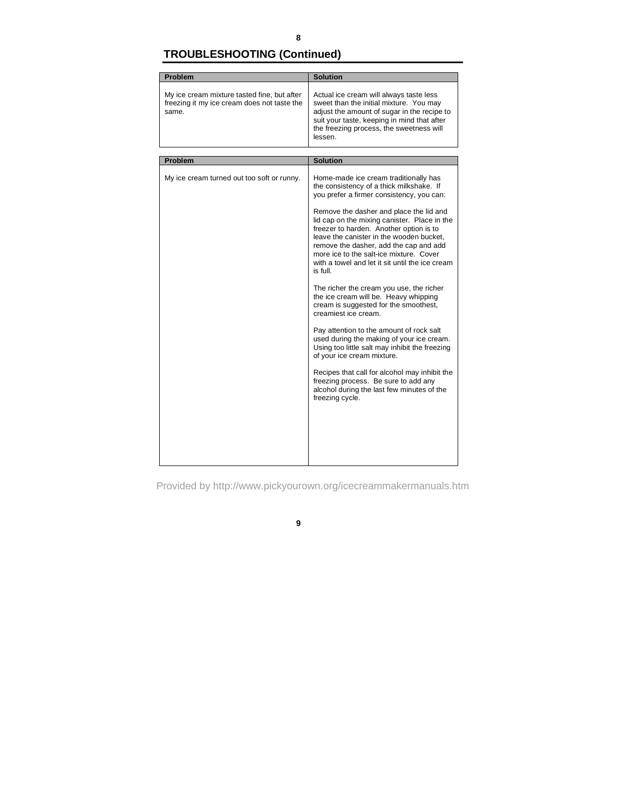# **8**

# **TROUBLESHOOTING (Continued)**

| Problem                                                                                             | <b>Solution</b>                                                                                                                                                                                                                                                                                                                                                                                                                                                      |  |
|-----------------------------------------------------------------------------------------------------|----------------------------------------------------------------------------------------------------------------------------------------------------------------------------------------------------------------------------------------------------------------------------------------------------------------------------------------------------------------------------------------------------------------------------------------------------------------------|--|
|                                                                                                     |                                                                                                                                                                                                                                                                                                                                                                                                                                                                      |  |
| My ice cream mixture tasted fine, but after<br>freezing it my ice cream does not taste the<br>same. | Actual ice cream will always taste less<br>sweet than the initial mixture. You may<br>adjust the amount of sugar in the recipe to<br>suit your taste, keeping in mind that after<br>the freezing process, the sweetness will<br>lessen.                                                                                                                                                                                                                              |  |
|                                                                                                     |                                                                                                                                                                                                                                                                                                                                                                                                                                                                      |  |
| Problem                                                                                             | <b>Solution</b>                                                                                                                                                                                                                                                                                                                                                                                                                                                      |  |
| My ice cream turned out too soft or runny.                                                          | Home-made ice cream traditionally has<br>the consistency of a thick milkshake. If<br>you prefer a firmer consistency, you can:<br>Remove the dasher and place the lid and<br>lid cap on the mixing canister. Place in the<br>freezer to harden. Another option is to<br>leave the canister in the wooden bucket.<br>remove the dasher, add the cap and add<br>more ice to the salt-ice mixture. Cover<br>with a towel and let it sit until the ice cream<br>is full. |  |
|                                                                                                     | The richer the cream you use, the richer<br>the ice cream will be. Heavy whipping<br>cream is suggested for the smoothest,<br>creamiest ice cream.                                                                                                                                                                                                                                                                                                                   |  |
|                                                                                                     | Pay attention to the amount of rock salt<br>used during the making of your ice cream.<br>Using too little salt may inhibit the freezing<br>of your ice cream mixture.                                                                                                                                                                                                                                                                                                |  |
|                                                                                                     | Recipes that call for alcohol may inhibit the<br>freezing process. Be sure to add any<br>alcohol during the last few minutes of the<br>freezing cycle.                                                                                                                                                                                                                                                                                                               |  |
|                                                                                                     |                                                                                                                                                                                                                                                                                                                                                                                                                                                                      |  |

Provided by http://www.pickyourown.org/icecreammakermanuals.htm

**9**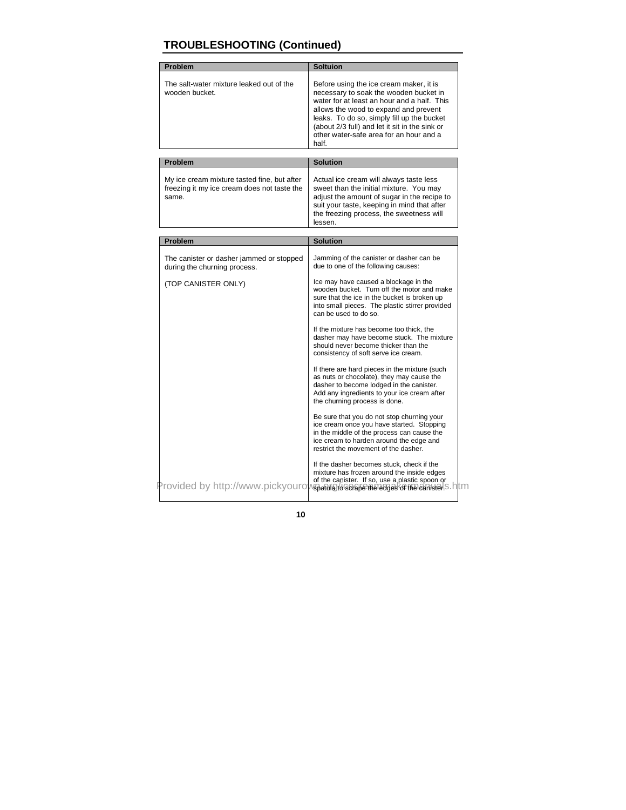# **TROUBLESHOOTING (Continued)**

| Problem                                                                                             | Soltuion                                                                                                                                                                                                                                                                                                                     |
|-----------------------------------------------------------------------------------------------------|------------------------------------------------------------------------------------------------------------------------------------------------------------------------------------------------------------------------------------------------------------------------------------------------------------------------------|
| The salt-water mixture leaked out of the<br>wooden bucket.                                          | Before using the ice cream maker, it is<br>necessary to soak the wooden bucket in<br>water for at least an hour and a half. This<br>allows the wood to expand and prevent<br>leaks. To do so, simply fill up the bucket<br>(about 2/3 full) and let it sit in the sink or<br>other water-safe area for an hour and a<br>half |
| Problem                                                                                             | <b>Solution</b>                                                                                                                                                                                                                                                                                                              |
| My ice cream mixture tasted fine, but after<br>freezing it my ice cream does not taste the<br>same. | Actual ice cream will always taste less<br>sweet than the initial mixture. You may<br>adjust the amount of sugar in the recipe to<br>suit your taste, keeping in mind that after<br>the freezing process, the sweetness will<br>lessen.                                                                                      |
| Problem                                                                                             | <b>Solution</b>                                                                                                                                                                                                                                                                                                              |
| The canister or dasher jammed or stopped<br>during the churning process.                            | Jamming of the canister or dasher can be<br>due to one of the following causes:                                                                                                                                                                                                                                              |
| (TOP CANISTER ONLY)                                                                                 | Ice may have caused a blockage in the<br>wooden bucket. Turn off the motor and make<br>sure that the ice in the bucket is broken up<br>into small pieces. The plastic stirrer provided<br>can be used to do so.                                                                                                              |
|                                                                                                     | If the mixture has become too thick, the<br>dasher may have become stuck. The mixture<br>should never become thicker than the<br>consistency of soft serve ice cream.                                                                                                                                                        |
|                                                                                                     | If there are hard pieces in the mixture (such<br>as nuts or chocolate), they may cause the<br>dasher to become lodged in the canister.<br>Add any ingredients to your ice cream after<br>the churning process is done.                                                                                                       |
|                                                                                                     | Be sure that you do not stop churning your<br>ice cream once you have started. Stopping<br>in the middle of the process can cause the<br>ice cream to harden around the edge and<br>restrict the movement of the dasher.                                                                                                     |
| Provided by http://www.pickyouro <mark>wspaura/denapemenas@eke mealamen</mark> s.                   | If the dasher becomes stuck, check if the<br>mixture has frozen around the inside edges<br>of the canister. If so, use a plastic spoon or<br>tm                                                                                                                                                                              |

**10**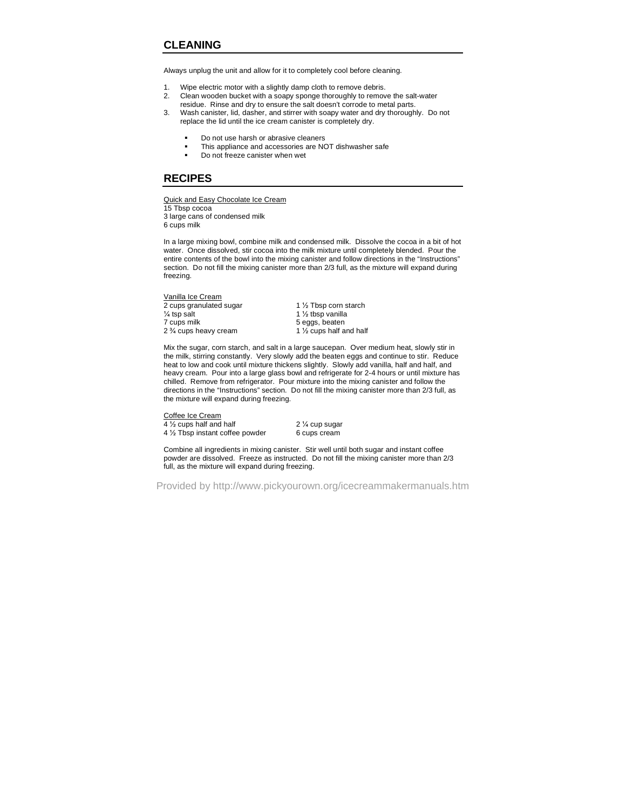# **CLEANING**

Always unplug the unit and allow for it to completely cool before cleaning.

- 1. Wipe electric motor with a slightly damp cloth to remove debris.
- 2. Clean wooden bucket with a soapy sponge thoroughly to remove the salt-water residue. Rinse and dry to ensure the salt doesn't corrode to metal parts.
- 3. Wash canister, lid, dasher, and stirrer with soapy water and dry thoroughly. Do not replace the lid until the ice cream canister is completely dry.
	- Do not use harsh or abrasive cleaners
	- This appliance and accessories are NOT dishwasher safe
	- **Do not freeze canister when wet**

### **RECIPES**

Quick and Easy Chocolate Ice Cream 15 Tbsp cocoa 3 large cans of condensed milk 6 cups milk

In a large mixing bowl, combine milk and condensed milk. Dissolve the cocoa in a bit of hot water. Once dissolved, stir cocoa into the milk mixture until completely blended. Pour the entire contents of the bowl into the mixing canister and follow directions in the "Instructions" section. Do not fill the mixing canister more than 2/3 full, as the mixture will expand during freezing.

Vanilla Ice Cream 2 cups granulated sugar 1 1 1 1 1 1 1 1 2 Tbsp corn starch  $\frac{1}{2}$  tsp salt 1 % tbsp vanilla 2 <sup>3</sup>/<sub>4</sub> cups heavy cream

7 cups milk 5 eggs, beaten<br>
2 % cups heavy cream
1 % cups half and half

Mix the sugar, corn starch, and salt in a large saucepan. Over medium heat, slowly stir in the milk, stirring constantly. Very slowly add the beaten eggs and continue to stir. Reduce heat to low and cook until mixture thickens slightly. Slowly add vanilla, half and half, and heavy cream. Pour into a large glass bowl and refrigerate for 2-4 hours or until mixture has chilled. Remove from refrigerator. Pour mixture into the mixing canister and follow the directions in the "Instructions" section. Do not fill the mixing canister more than 2/3 full, as the mixture will expand during freezing.

Coffee Ice Cream

 $\frac{4 \frac{1}{2} \text{ cups}}{4 \frac{1}{2} \text{ Tbsp}}$  instant coffee powder  $\frac{2 \frac{1}{4} \text{ cups}}{6 \text{ cups}}$  cream  $4\frac{1}{2}$  Tbsp instant coffee powder

Combine all ingredients in mixing canister. Stir well until both sugar and instant coffee powder are dissolved. Freeze as instructed. Do not fill the mixing canister more than 2/3 full, as the mixture will expand during freezing.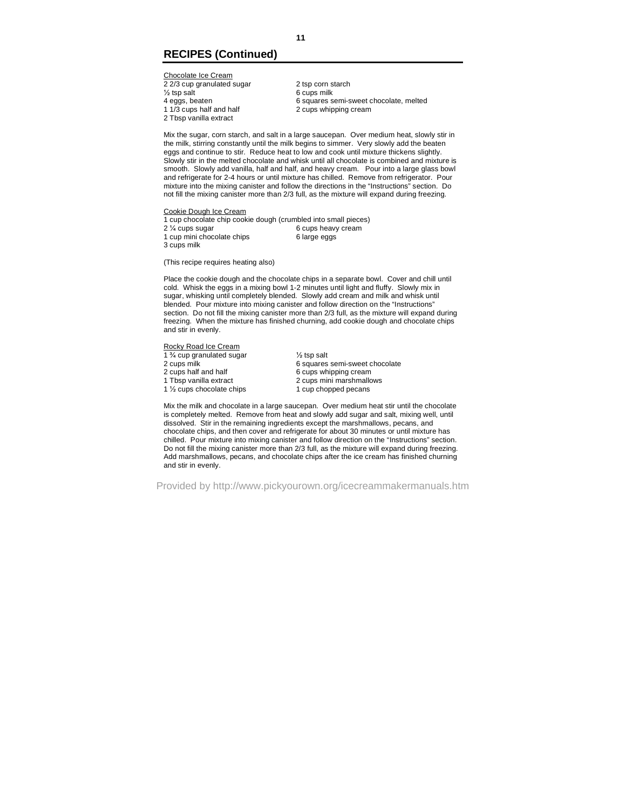# **RECIPES (Continued)**

Chocolate Ice Cream  $\frac{22}{3}$  cup granulated sugar 2 tsp corn starch<br>  $\frac{1}{2}$  tsp salt 6 cups milk % tsp salt 6 cups milk<br>4 eggs, beaten 6 squares s

2 Tbsp vanilla extract

4 eggs, beaten 6 squares semi-sweet chocolate, melted<br>1 1/3 cups half and half 2 cups whipping cream 2 cups whipping cream

Mix the sugar, corn starch, and salt in a large saucepan. Over medium heat, slowly stir in the milk, stirring constantly until the milk begins to simmer. Very slowly add the beaten eggs and continue to stir. Reduce heat to low and cook until mixture thickens slightly. Slowly stir in the melted chocolate and whisk until all chocolate is combined and mixture is smooth. Slowly add vanilla, half and half, and heavy cream. Pour into a large glass bowl and refrigerate for 2-4 hours or until mixture has chilled. Remove from refrigerator. Pour mixture into the mixing canister and follow the directions in the "Instructions" section. Do not fill the mixing canister more than 2/3 full, as the mixture will expand during freezing.

Cookie Dough Ice Cream

1 cup chocolate chip cookie dough (crumbled into small pieces) 2 ¼ cups sugar 6 cups heavy cream 1 cup mini chocolate chips 6 large eggs 3 cups milk

(This recipe requires heating also)

Place the cookie dough and the chocolate chips in a separate bowl. Cover and chill until cold. Whisk the eggs in a mixing bowl 1-2 minutes until light and fluffy. Slowly mix in sugar, whisking until completely blended. Slowly add cream and milk and whisk until blended. Pour mixture into mixing canister and follow direction on the "Instructions" section. Do not fill the mixing canister more than 2/3 full, as the mixture will expand during freezing. When the mixture has finished churning, add cookie dough and chocolate chips and stir in evenly.

Rocky Road Ice Cream

1 % cup granulated sugar  $\frac{1}{2}$  tsp salt<br>2 cups milk 6 squares 2 cups half and half 6 cups whipping cream<br>1 Tbsp vanilla extract 1 cups mini marshmall 1  $\frac{1}{2}$  cups chocolate chips

2 cups milk<br>
2 cups half and half<br>
6 cups whipping cream<br>
6 squares semi-sweet chocolate<br>
6 squares semi-sweet chocolate 2 cups mini marshmallows<br>1 cup chopped pecans

Mix the milk and chocolate in a large saucepan. Over medium heat stir until the chocolate is completely melted. Remove from heat and slowly add sugar and salt, mixing well, until dissolved. Stir in the remaining ingredients except the marshmallows, pecans, and chocolate chips, and then cover and refrigerate for about 30 minutes or until mixture has chilled. Pour mixture into mixing canister and follow direction on the "Instructions" section. Do not fill the mixing canister more than 2/3 full, as the mixture will expand during freezing. Add marshmallows, pecans, and chocolate chips after the ice cream has finished churning and stir in evenly.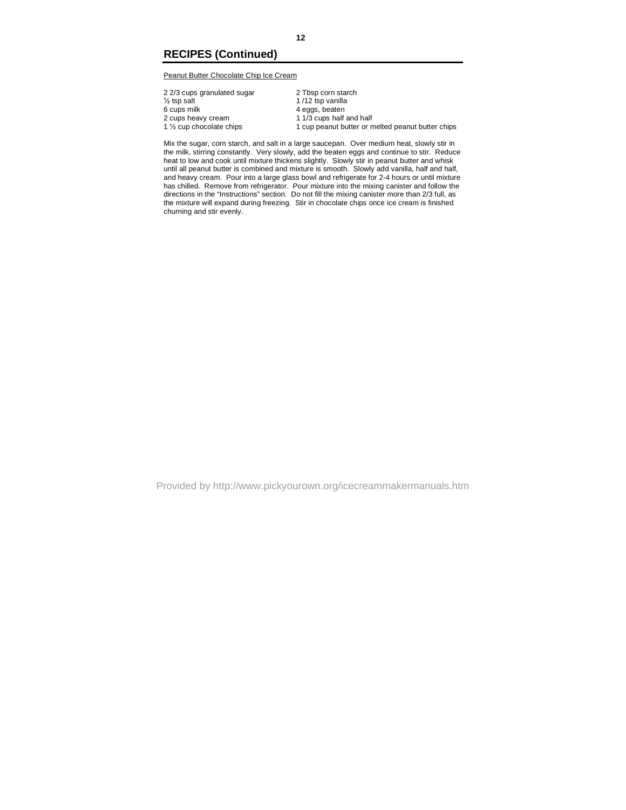# **RECIPES (Continued)**

Peanut Butter Chocolate Chip Ice Cream

| 2 2/3 cups granulated sugar           | 2 Tbsp corn starch                                |
|---------------------------------------|---------------------------------------------------|
| $\frac{1}{2}$ tsp salt                | 1/12 tsp vanilla                                  |
| 6 cups milk                           | 4 eggs, beaten                                    |
| 2 cups heavy cream                    | 1 1/3 cups half and half                          |
| 1 1/ <sub>2</sub> cup chocolate chips | 1 cup peanut butter or melted peanut butter chips |
|                                       |                                                   |

Mix the sugar, corn starch, and salt in a large saucepan. Over medium heat, slowly stir in the milk, stirring constantly. Very slowly, add the beaten eggs and continue to stir. Reduce heat to low and cook until mixture thickens slightly. Slowly stir in peanut butter and whisk until all peanut butter is combined and mixture is smooth. Slowly add vanilla, half and half, and heavy cream. Pour into a large glass bowl and refrigerate for 2-4 hours or until mixture has chilled. Remove from refrigerator. Pour mixture into the mixing canister and follow the directions in the "Instructions" section. Do not fill the mixing canister more than 2/3 full, as the mixture will expand during freezing. Stir in chocolate chips once ice cream is finished churning and stir evenly.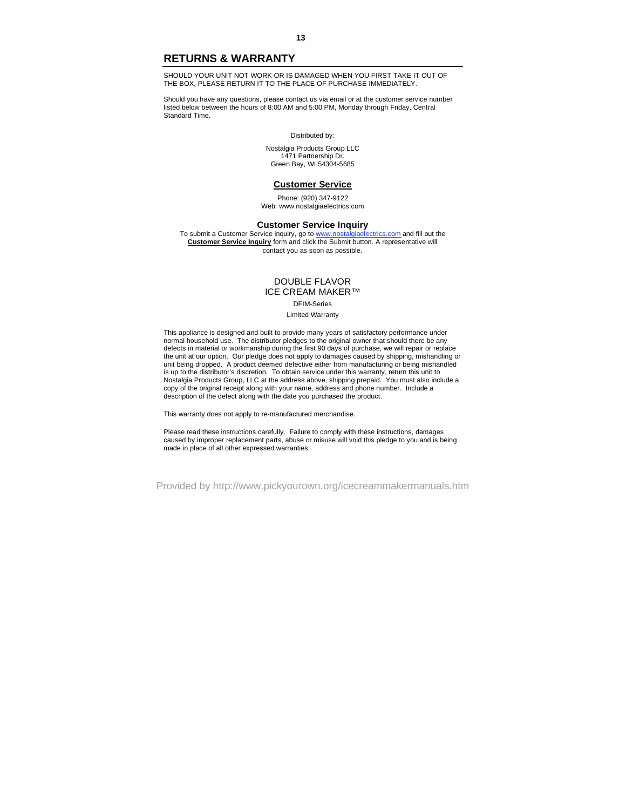### **RETURNS & WARRANTY**

SHOULD YOUR UNIT NOT WORK OR IS DAMAGED WHEN YOU FIRST TAKE IT OUT OF THE BOX, PLEASE RETURN IT TO THE PLACE OF PURCHASE IMMEDIATELY.

Should you have any questions, please contact us via email or at the customer service number listed below between the hours of 8:00 AM and 5:00 PM, Monday through Friday, Central Standard Time.

#### Distributed by:

Nostalgia Products Group LLC 1471 Partnership Dr. Green Bay, WI 54304-5685

#### **Customer Service**

Phone: (920) 347-9122 Web: www.nostalgiaelectrics.com

#### **Customer Service Inquiry**

To submit a Customer Service inquiry, go to www.nostalgiaelectrics.com and fill out the **Customer Service Inquiry** form and click the Submit button. A representative will contact you as soon as possible.

#### DOUBLE FLAVOR ICE CREAM MAKER™

DFIM-Series Limited Warranty

This appliance is designed and built to provide many years of satisfactory performance under normal household use. The distributor pledges to the original owner that should there be any defects in material or workmanship during the first 90 days of purchase, we will repair or replace the unit at our option. Our pledge does not apply to damages caused by shipping, mishandling or unit being dropped. A product deemed defective either from manufacturing or being mishandled is up to the distributor's discretion. To obtain service under this warranty, return this unit to Nostalgia Products Group, LLC at the address above, shipping prepaid. You must also include a copy of the original receipt along with your name, address and phone number. Include a description of the defect along with the date you purchased the product.

This warranty does not apply to re-manufactured merchandise.

Please read these instructions carefully. Failure to comply with these instructions, damages caused by improper replacement parts, abuse or misuse will void this pledge to you and is being made in place of all other expressed warranties.